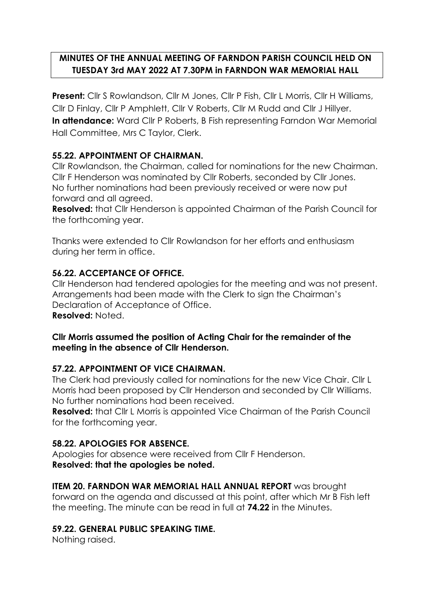# **MINUTES OF THE ANNUAL MEETING OF FARNDON PARISH COUNCIL HELD ON TUESDAY 3rd MAY 2022 AT 7.30PM in FARNDON WAR MEMORIAL HALL**

**Present:** Cllr S Rowlandson, Cllr M Jones, Cllr P Fish, Cllr L Morris, Cllr H Williams, Cllr D Finlay, Cllr P Amphlett, Cllr V Roberts, Cllr M Rudd and Cllr J Hillyer. **In attendance:** Ward Cllr P Roberts, B Fish representing Farndon War Memorial Hall Committee, Mrs C Taylor, Clerk.

# **55.22. APPOINTMENT OF CHAIRMAN.**

Cllr Rowlandson, the Chairman, called for nominations for the new Chairman. Cllr F Henderson was nominated by Cllr Roberts, seconded by Cllr Jones. No further nominations had been previously received or were now put forward and all agreed.

**Resolved:** that Cllr Henderson is appointed Chairman of the Parish Council for the forthcoming year.

Thanks were extended to Cllr Rowlandson for her efforts and enthusiasm during her term in office.

# **56.22. ACCEPTANCE OF OFFICE.**

Cllr Henderson had tendered apologies for the meeting and was not present. Arrangements had been made with the Clerk to sign the Chairman's Declaration of Acceptance of Office. **Resolved:** Noted.

### **Cllr Morris assumed the position of Acting Chair for the remainder of the meeting in the absence of Cllr Henderson.**

### **57.22. APPOINTMENT OF VICE CHAIRMAN.**

The Clerk had previously called for nominations for the new Vice Chair. Cllr L Morris had been proposed by Cllr Henderson and seconded by Cllr Williams. No further nominations had been received.

**Resolved:** that Cllr L Morris is appointed Vice Chairman of the Parish Council for the forthcoming year.

# **58.22. APOLOGIES FOR ABSENCE.**

Apologies for absence were received from Cllr F Henderson. **Resolved: that the apologies be noted.**

### **ITEM 20. FARNDON WAR MEMORIAL HALL ANNUAL REPORT** was brought

forward on the agenda and discussed at this point, after which Mr B Fish left the meeting. The minute can be read in full at **74.22** in the Minutes.

### **59.22. GENERAL PUBLIC SPEAKING TIME.**

Nothing raised.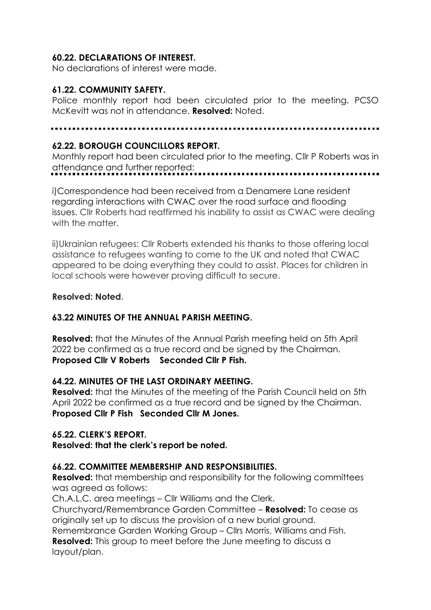### **60.22. DECLARATIONS OF INTEREST.**

No declarations of interest were made.

#### **61.22. COMMUNITY SAFETY.**

Police monthly report had been circulated prior to the meeting. PCSO McKevitt was not in attendance. **Resolved:** Noted.

#### **62.22. BOROUGH COUNCILLORS REPORT.**

Monthly report had been circulated prior to the meeting. Cllr P Roberts was in attendance and further reported:

i)Correspondence had been received from a Denamere Lane resident regarding interactions with CWAC over the road surface and flooding issues. Cllr Roberts had reaffirmed his inability to assist as CWAC were dealing with the matter.

ii)Ukrainian refugees: Cllr Roberts extended his thanks to those offering local assistance to refugees wanting to come to the UK and noted that CWAC appeared to be doing everything they could to assist. Places for children in local schools were however proving difficult to secure.

#### **Resolved: Noted**.

### **63.22 MINUTES OF THE ANNUAL PARISH MEETING.**

**Resolved:** that the Minutes of the Annual Parish meeting held on 5th April 2022 be confirmed as a true record and be signed by the Chairman. **Proposed Cllr V Roberts Seconded Cllr P Fish.**

#### **64.22. MINUTES OF THE LAST ORDINARY MEETING.**

**Resolved:** that the Minutes of the meeting of the Parish Council held on 5th April 2022 be confirmed as a true record and be signed by the Chairman. **Proposed Cllr P Fish Seconded Cllr M Jones.**

#### **65.22. CLERK'S REPORT.**

**Resolved: that the clerk's report be noted.**

#### **66.22. COMMITTEE MEMBERSHIP AND RESPONSIBILITIES.**

**Resolved:** that membership and responsibility for the following committees was agreed as follows:

Ch.A.L.C. area meetings – Cllr Williams and the Clerk.

Churchyard/Remembrance Garden Committee – **Resolved:** To cease as originally set up to discuss the provision of a new burial ground.

Remembrance Garden Working Group – Cllrs Morris, Williams and Fish. **Resolved:** This group to meet before the June meeting to discuss a layout/plan.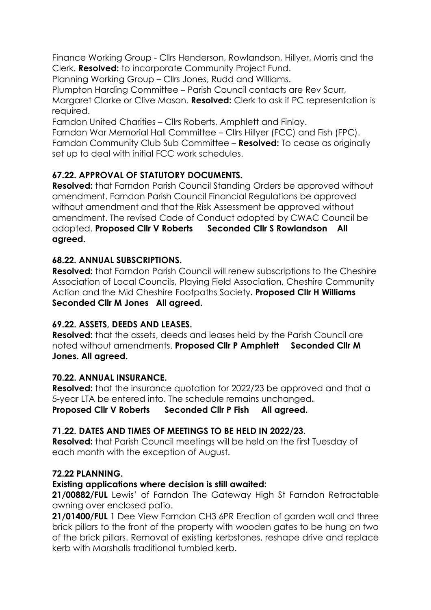Finance Working Group - Cllrs Henderson, Rowlandson, Hillyer, Morris and the Clerk. **Resolved:** to incorporate Community Project Fund.

Planning Working Group – Cllrs Jones, Rudd and Williams.

Plumpton Harding Committee – Parish Council contacts are Rev Scurr,

Margaret Clarke or Clive Mason. **Resolved:** Clerk to ask if PC representation is required.

Farndon United Charities – Cllrs Roberts, Amphlett and Finlay.

Farndon War Memorial Hall Committee – Cllrs Hillyer (FCC) and Fish (FPC). Farndon Community Club Sub Committee – **Resolved:** To cease as originally set up to deal with initial FCC work schedules.

# **67.22. APPROVAL OF STATUTORY DOCUMENTS.**

**Resolved:** that Farndon Parish Council Standing Orders be approved without amendment. Farndon Parish Council Financial Regulations be approved without amendment and that the Risk Assessment be approved without amendment. The revised Code of Conduct adopted by CWAC Council be adopted. **Proposed Cllr V Roberts Seconded Cllr S Rowlandson All agreed.**

# **68.22. ANNUAL SUBSCRIPTIONS.**

**Resolved:** that Farndon Parish Council will renew subscriptions to the Cheshire Association of Local Councils, Playing Field Association, Cheshire Community Action and the Mid Cheshire Footpaths Society**. Proposed Cllr H Williams Seconded Cllr M Jones All agreed.**

# **69.22. ASSETS, DEEDS AND LEASES.**

**Resolved:** that the assets, deeds and leases held by the Parish Council are noted without amendments. **Proposed Cllr P Amphlett Seconded Cllr M Jones. All agreed.**

# **70.22. ANNUAL INSURANCE.**

**Resolved:** that the insurance quotation for 2022/23 be approved and that a 5-year LTA be entered into. The schedule remains unchanged**. Proposed Cllr V Roberts Seconded Cllr P Fish All agreed.**

# **71.22. DATES AND TIMES OF MEETINGS TO BE HELD IN 2022/23.**

**Resolved:** that Parish Council meetings will be held on the first Tuesday of each month with the exception of August.

# **72.22 PLANNING.**

# **Existing applications where decision is still awaited:**

**21/00882/FUL** Lewis' of Farndon The Gateway High St Farndon Retractable awning over enclosed patio.

**21/01400/FUL** 1 Dee View Farndon CH3 6PR Erection of garden wall and three brick pillars to the front of the property with wooden gates to be hung on two of the brick pillars. Removal of existing kerbstones, reshape drive and replace kerb with Marshalls traditional tumbled kerb.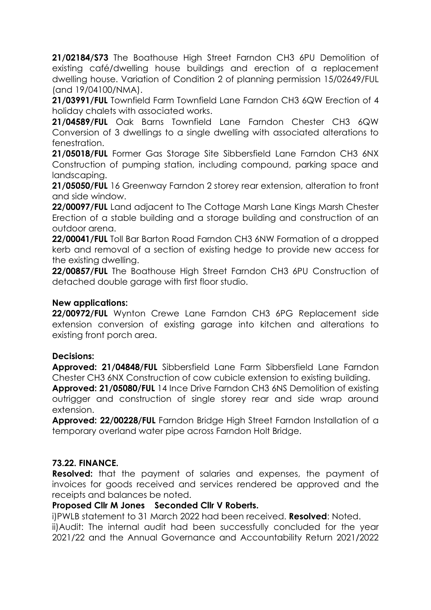**21/02184/S73** The Boathouse High Street Farndon CH3 6PU Demolition of existing café/dwelling house buildings and erection of a replacement dwelling house. Variation of Condition 2 of planning permission 15/02649/FUL (and 19/04100/NMA).

**21/03991/FUL** Townfield Farm Townfield Lane Farndon CH3 6QW Erection of 4 holiday chalets with associated works.

**21/04589/FUL** Oak Barns Townfield Lane Farndon Chester CH3 6QW Conversion of 3 dwellings to a single dwelling with associated alterations to fenestration.

**21/05018/FUL** Former Gas Storage Site Sibbersfield Lane Farndon CH3 6NX Construction of pumping station, including compound, parking space and landscaping.

**21/05050/FUL** 16 Greenway Farndon 2 storey rear extension, alteration to front and side window.

**22/00097/FUL** Land adjacent to The Cottage Marsh Lane Kings Marsh Chester Erection of a stable building and a storage building and construction of an outdoor arena.

**22/00041/FUL** Toll Bar Barton Road Farndon CH3 6NW Formation of a dropped kerb and removal of a section of existing hedge to provide new access for the existing dwelling.

**22/00857/FUL** The Boathouse High Street Farndon CH3 6PU Construction of detached double garage with first floor studio.

#### **New applications:**

**22/00972/FUL** Wynton Crewe Lane Farndon CH3 6PG Replacement side extension conversion of existing garage into kitchen and alterations to existing front porch area.

#### **Decisions:**

**Approved: 21/04848/FUL** Sibbersfield Lane Farm Sibbersfield Lane Farndon Chester CH3 6NX Construction of cow cubicle extension to existing building.

**Approved: 21/05080/FUL** 14 Ince Drive Farndon CH3 6NS Demolition of existing outrigger and construction of single storey rear and side wrap around extension.

**Approved: 22/00228/FUL** Farndon Bridge High Street Farndon Installation of a temporary overland water pipe across Farndon Holt Bridge.

### **73.22. FINANCE.**

**Resolved:** that the payment of salaries and expenses, the payment of invoices for goods received and services rendered be approved and the receipts and balances be noted.

#### **Proposed Cllr M Jones Seconded Cllr V Roberts.**

i)PWLB statement to 31 March 2022 had been received. **Resolved**: Noted.

ii)Audit: The internal audit had been successfully concluded for the year 2021/22 and the Annual Governance and Accountability Return 2021/2022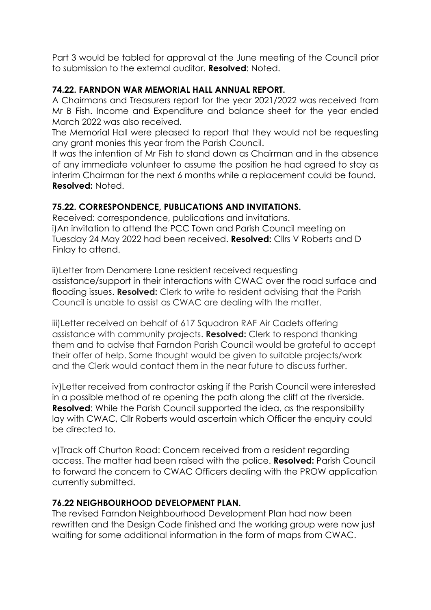Part 3 would be tabled for approval at the June meeting of the Council prior to submission to the external auditor. **Resolved**: Noted.

# **74.22. FARNDON WAR MEMORIAL HALL ANNUAL REPORT.**

A Chairmans and Treasurers report for the year 2021/2022 was received from Mr B Fish. Income and Expenditure and balance sheet for the year ended March 2022 was also received.

The Memorial Hall were pleased to report that they would not be requesting any grant monies this year from the Parish Council.

It was the intention of Mr Fish to stand down as Chairman and in the absence of any immediate volunteer to assume the position he had agreed to stay as interim Chairman for the next 6 months while a replacement could be found. **Resolved:** Noted.

# **75.22. CORRESPONDENCE, PUBLICATIONS AND INVITATIONS.**

Received: correspondence, publications and invitations. i)An invitation to attend the PCC Town and Parish Council meeting on Tuesday 24 May 2022 had been received. **Resolved:** Cllrs V Roberts and D Finlay to attend.

ii)Letter from Denamere Lane resident received requesting assistance/support in their interactions with CWAC over the road surface and flooding issues. **Resolved:** Clerk to write to resident advising that the Parish Council is unable to assist as CWAC are dealing with the matter.

iii)Letter received on behalf of 617 Squadron RAF Air Cadets offering assistance with community projects. **Resolved:** Clerk to respond thanking them and to advise that Farndon Parish Council would be grateful to accept their offer of help. Some thought would be given to suitable projects/work and the Clerk would contact them in the near future to discuss further.

iv)Letter received from contractor asking if the Parish Council were interested in a possible method of re opening the path along the cliff at the riverside. **Resolved:** While the Parish Council supported the idea, as the responsibility lay with CWAC, Cllr Roberts would ascertain which Officer the enquiry could be directed to.

v)Track off Churton Road: Concern received from a resident regarding access. The matter had been raised with the police. **Resolved:** Parish Council to forward the concern to CWAC Officers dealing with the PROW application currently submitted.

# **76.22 NEIGHBOURHOOD DEVELOPMENT PLAN.**

The revised Farndon Neighbourhood Development Plan had now been rewritten and the Design Code finished and the working group were now just waiting for some additional information in the form of maps from CWAC.